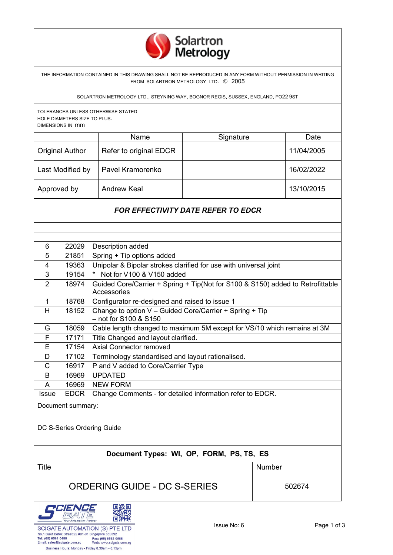

THE INFORMATION CONTAINED IN THIS DRAWING SHALL NOT BE REPRODUCED IN ANY FORM WITHOUT PERMISSION IN WRITING FROM SOLARTRON METROLOGY LTD. © 2005

SOLARTRON METROLOGY LTD., STEYNING WAY, BOGNOR REGIS, SUSSEX, ENGLAND, PO22 9ST

TOLERANCES UNLESS OTHERWISE STATED HOLE DIAMETERS SIZE TO PLUS. DIMENSIONS IN mm

|                        | Name                   | Signature | Date       |
|------------------------|------------------------|-----------|------------|
| <b>Original Author</b> | Refer to original EDCR |           | 11/04/2005 |
| Last Modified by       | Pavel Kramorenko       |           | 16/02/2022 |
| Approved by            | <b>Andrew Keal</b>     |           | 13/10/2015 |

## *FOR EFFECTIVITY DATE REFER TO EDCR*

| 6              | 22029       | Description added                                                              |
|----------------|-------------|--------------------------------------------------------------------------------|
| 5              | 21851       | Spring + Tip options added                                                     |
| 4              | 19363       | Unipolar & Bipolar strokes clarified for use with universal joint              |
| 3              | 19154       | Not for V100 & V150 added<br>$\star$                                           |
| $\overline{2}$ | 18974       | Guided Core/Carrier + Spring + Tip(Not for S100 & S150) added to Retrofittable |
|                |             | Accessories                                                                    |
| 1              | 18768       | Configurator re-designed and raised to issue 1                                 |
| н              | 18152       | Change to option V - Guided Core/Carrier + Spring + Tip                        |
|                |             | $-$ not for S100 & S150                                                        |
| G              | 18059       | Cable length changed to maximum 5M except for VS/10 which remains at 3M        |
| F              | 17171       | Title Changed and layout clarified.                                            |
| Е              | 17154       | Axial Connector removed                                                        |
| D              | 17102       | Terminology standardised and layout rationalised.                              |
| C              | 16917       | P and V added to Core/Carrier Type                                             |
| B              | 16969       | <b>UPDATED</b>                                                                 |
| A              | 16969       | <b>NEW FORM</b>                                                                |
| <b>Issue</b>   | <b>EDCR</b> | Change Comments - for detailed information refer to EDCR.                      |
|                |             |                                                                                |

Document summary:

DC S-Series Ordering Guide

## **Document Types: WI, OP, FORM, PS, TS, ES**

Title **Number Number** 

## ORDERING GUIDE - DC S-SERIES 502674



Business Hours: Monday - Friday 8.30am - 6.15pm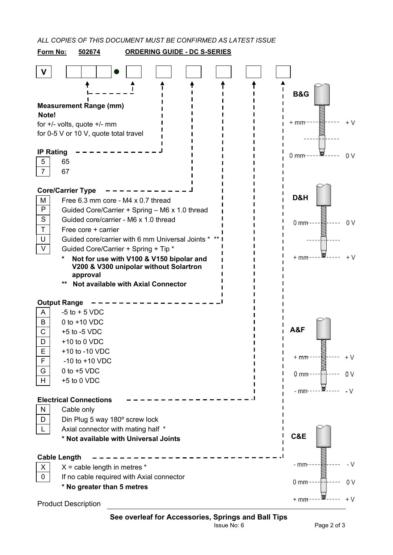*ALL COPIES OF THIS DOCUMENT MUST BE CONFIRMED AS LATEST ISSUE*